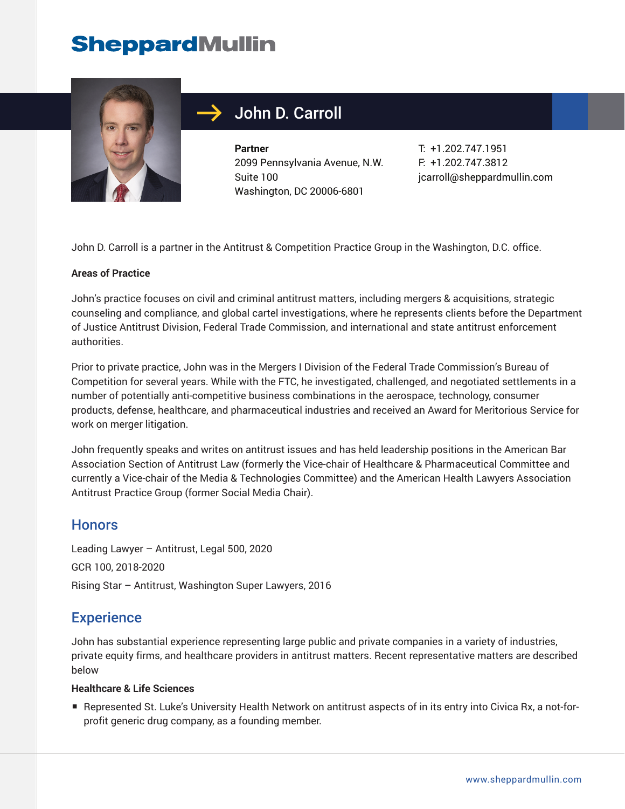# **SheppardMullin**



## John D. Carroll

**Partner** 2099 Pennsylvania Avenue, N.W. Suite 100 Washington, DC 20006-6801

T: +1.202.747.1951 F: +1.202.747.3812 jcarroll@sheppardmullin.com

John D. Carroll is a partner in the Antitrust & Competition Practice Group in the Washington, D.C. office.

#### **Areas of Practice**

John's practice focuses on civil and criminal antitrust matters, including mergers & acquisitions, strategic counseling and compliance, and global cartel investigations, where he represents clients before the Department of Justice Antitrust Division, Federal Trade Commission, and international and state antitrust enforcement authorities.

Prior to private practice, John was in the Mergers I Division of the Federal Trade Commission's Bureau of Competition for several years. While with the FTC, he investigated, challenged, and negotiated settlements in a number of potentially anti-competitive business combinations in the aerospace, technology, consumer products, defense, healthcare, and pharmaceutical industries and received an Award for Meritorious Service for work on merger litigation.

John frequently speaks and writes on antitrust issues and has held leadership positions in the American Bar Association Section of Antitrust Law (formerly the Vice-chair of Healthcare & Pharmaceutical Committee and currently a Vice-chair of the Media & Technologies Committee) and the American Health Lawyers Association Antitrust Practice Group (former Social Media Chair).

#### **Honors**

Leading Lawyer – Antitrust, Legal 500, 2020 GCR 100, 2018-2020 Rising Star – Antitrust, Washington Super Lawyers, 2016

### **Experience**

John has substantial experience representing large public and private companies in a variety of industries, private equity firms, and healthcare providers in antitrust matters. Recent representative matters are described below

#### **Healthcare & Life Sciences**

■ Represented St. Luke's University Health Network on antitrust aspects of in its entry into Civica Rx, a not-forprofit generic drug company, as a founding member.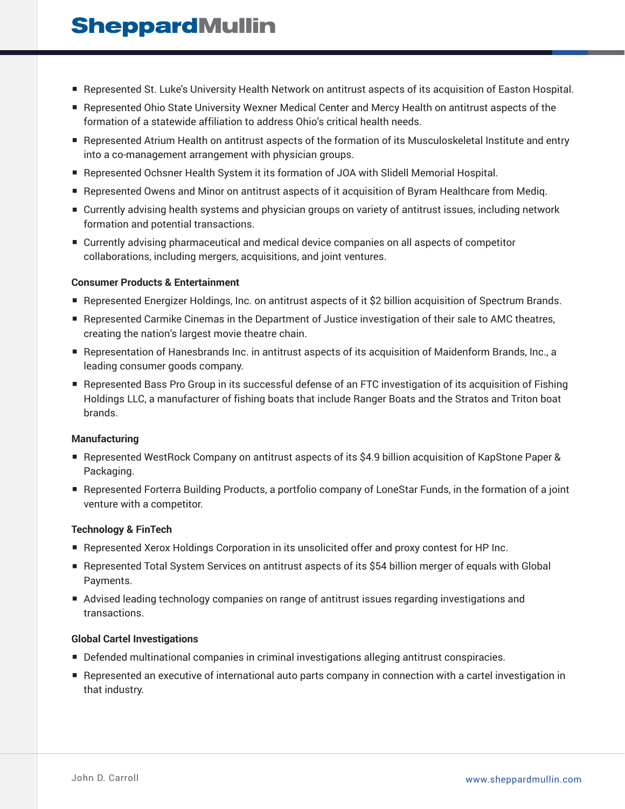## **SheppardMullin**

- Represented St. Luke's University Health Network on antitrust aspects of its acquisition of Easton Hospital.
- Represented Ohio State University Wexner Medical Center and Mercy Health on antitrust aspects of the formation of a statewide affiliation to address Ohio's critical health needs.
- Represented Atrium Health on antitrust aspects of the formation of its Musculoskeletal Institute and entry into a co-management arrangement with physician groups.
- Represented Ochsner Health System it its formation of JOA with Slidell Memorial Hospital.
- Represented Owens and Minor on antitrust aspects of it acquisition of Byram Healthcare from Mediq.
- Currently advising health systems and physician groups on variety of antitrust issues, including network formation and potential transactions.
- Currently advising pharmaceutical and medical device companies on all aspects of competitor collaborations, including mergers, acquisitions, and joint ventures.

#### **Consumer Products & Entertainment**

- Represented Energizer Holdings, Inc. on antitrust aspects of it \$2 billion acquisition of Spectrum Brands.
- Represented Carmike Cinemas in the Department of Justice investigation of their sale to AMC theatres, creating the nation's largest movie theatre chain.
- Representation of Hanesbrands Inc. in antitrust aspects of its acquisition of Maidenform Brands, Inc., a leading consumer goods company.
- Represented Bass Pro Group in its successful defense of an FTC investigation of its acquisition of Fishing Holdings LLC, a manufacturer of fishing boats that include Ranger Boats and the Stratos and Triton boat brands.

#### **Manufacturing**

- Represented WestRock Company on antitrust aspects of its \$4.9 billion acquisition of KapStone Paper & Packaging.
- Represented Forterra Building Products, a portfolio company of LoneStar Funds, in the formation of a joint venture with a competitor.

#### **Technology & FinTech**

- Represented Xerox Holdings Corporation in its unsolicited offer and proxy contest for HP Inc.
- Represented Total System Services on antitrust aspects of its \$54 billion merger of equals with Global Payments.
- Advised leading technology companies on range of antitrust issues regarding investigations and transactions.

#### **Global Cartel Investigations**

- Defended multinational companies in criminal investigations alleging antitrust conspiracies.
- Represented an executive of international auto parts company in connection with a cartel investigation in that industry.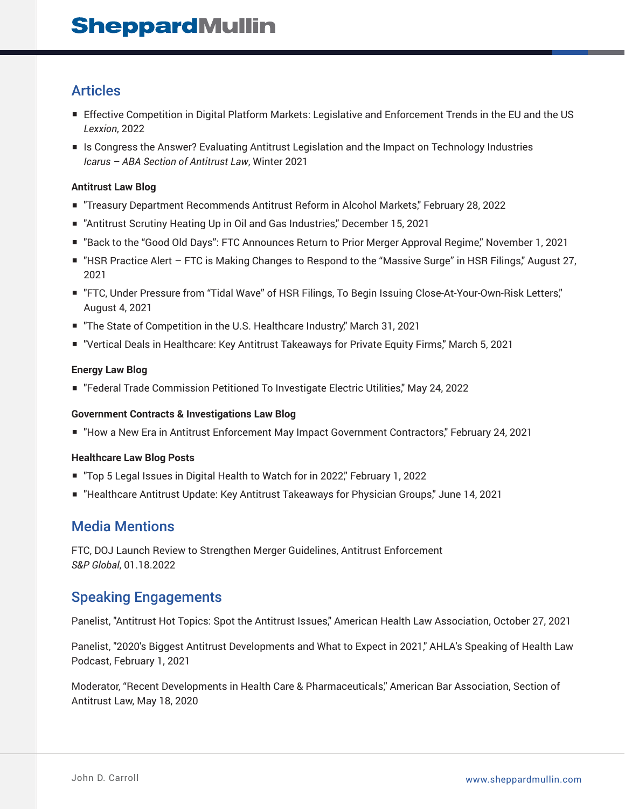### Articles

- Effective Competition in Digital Platform Markets: Legislative and Enforcement Trends in the EU and the US *Lexxion*, 2022
- Is Congress the Answer? Evaluating Antitrust Legislation and the Impact on Technology Industries *Icarus – ABA Section of Antitrust Law*, Winter 2021

#### **Antitrust Law Blog**

- "Treasury Department Recommends Antitrust Reform in Alcohol Markets," February 28, 2022
- "Antitrust Scrutiny Heating Up in Oil and Gas Industries," December 15, 2021
- "Back to the "Good Old Days": FTC Announces Return to Prior Merger Approval Regime," November 1, 2021
- "HSR Practice Alert FTC is Making Changes to Respond to the "Massive Surge" in HSR Filings," August 27, 2021
- "FTC, Under Pressure from "Tidal Wave" of HSR Filings, To Begin Issuing Close-At-Your-Own-Risk Letters," August 4, 2021
- "The State of Competition in the U.S. Healthcare Industry," March 31, 2021
- "Vertical Deals in Healthcare: Key Antitrust Takeaways for Private Equity Firms," March 5, 2021

#### **Energy Law Blog**

■ "Federal Trade Commission Petitioned To Investigate Electric Utilities," May 24, 2022

#### **Government Contracts & Investigations Law Blog**

■ "How a New Era in Antitrust Enforcement May Impact Government Contractors," February 24, 2021

#### **Healthcare Law Blog Posts**

- "Top 5 Legal Issues in Digital Health to Watch for in 2022," February 1, 2022
- "Healthcare Antitrust Update: Key Antitrust Takeaways for Physician Groups," June 14, 2021

### Media Mentions

FTC, DOJ Launch Review to Strengthen Merger Guidelines, Antitrust Enforcement *S&P Global*, 01.18.2022

### Speaking Engagements

Panelist, "Antitrust Hot Topics: Spot the Antitrust Issues," American Health Law Association, October 27, 2021

Panelist, "2020's Biggest Antitrust Developments and What to Expect in 2021," AHLA's Speaking of Health Law Podcast, February 1, 2021

Moderator, "Recent Developments in Health Care & Pharmaceuticals," American Bar Association, Section of Antitrust Law, May 18, 2020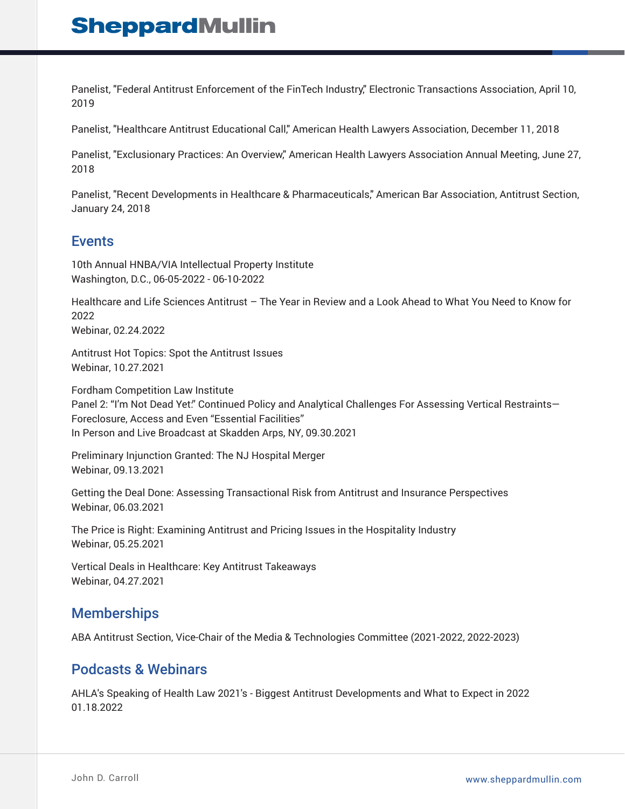Panelist, "Federal Antitrust Enforcement of the FinTech Industry," Electronic Transactions Association, April 10, 2019

Panelist, "Healthcare Antitrust Educational Call," American Health Lawyers Association, December 11, 2018

Panelist, "Exclusionary Practices: An Overview," American Health Lawyers Association Annual Meeting, June 27, 2018

Panelist, "Recent Developments in Healthcare & Pharmaceuticals," American Bar Association, Antitrust Section, January 24, 2018

### Events

10th Annual HNBA/VIA Intellectual Property Institute Washington, D.C., 06-05-2022 - 06-10-2022

Healthcare and Life Sciences Antitrust – The Year in Review and a Look Ahead to What You Need to Know for 2022 Webinar, 02.24.2022

Antitrust Hot Topics: Spot the Antitrust Issues Webinar, 10.27.2021

Fordham Competition Law Institute Panel 2: "I'm Not Dead Yet." Continued Policy and Analytical Challenges For Assessing Vertical Restraints— Foreclosure, Access and Even "Essential Facilities" In Person and Live Broadcast at Skadden Arps, NY, 09.30.2021

Preliminary Injunction Granted: The NJ Hospital Merger Webinar, 09.13.2021

Getting the Deal Done: Assessing Transactional Risk from Antitrust and Insurance Perspectives Webinar, 06.03.2021

The Price is Right: Examining Antitrust and Pricing Issues in the Hospitality Industry Webinar, 05.25.2021

Vertical Deals in Healthcare: Key Antitrust Takeaways Webinar, 04.27.2021

### **Memberships**

ABA Antitrust Section, Vice-Chair of the Media & Technologies Committee (2021-2022, 2022-2023)

### Podcasts & Webinars

AHLA's Speaking of Health Law 2021's - Biggest Antitrust Developments and What to Expect in 2022 01.18.2022